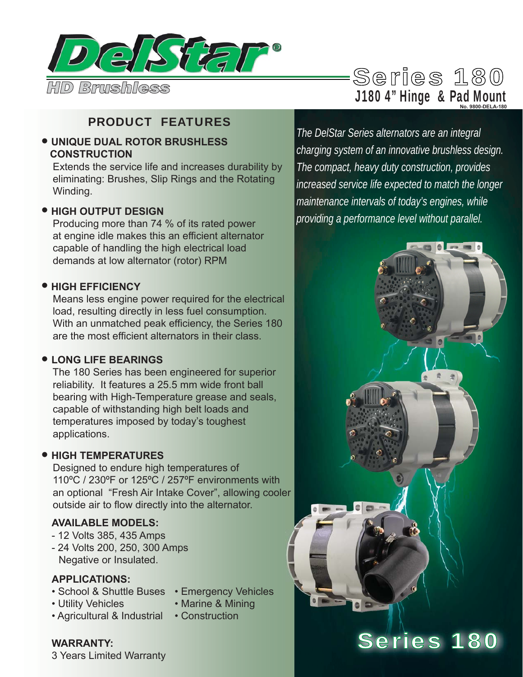

# PRODUCT FEATURES

#### • **UNIQUE DUAL ROTOR BRUSHLESS CONSTRUCTION**

 Extends the service life and increases durability by eliminating: Brushes, Slip Rings and the Rotating Winding.

#### • **HIGH OUTPUT DESIGN**

 Producing more than 74 % of its rated power at engine idle makes this an efficient alternator capable of handling the high electrical load demands at low alternator (rotor) RPM

#### • **HIGH EFFICIENCY**

 Means less engine power required for the electrical load, resulting directly in less fuel consumption. With an unmatched peak efficiency, the Series 180 are the most efficient alternators in their class.

#### • **LONG LIFE BEARINGS**

 The 180 Series has been engineered for superior reliability. It features a 25.5 mm wide front ball bearing with High-Temperature grease and seals, capable of withstanding high belt loads and temperatures imposed by today's toughest applications.

#### • **HIGH TEMPERATURES**

 Designed to endure high temperatures of 110ºC / 230ºF or 125ºC / 257ºF environments with an optional "Fresh Air Intake Cover", allowing cooler outside air to flow directly into the alternator.

### **AVAILABLE MODELS:**

- 12 Volts 385, 435 Amps
- 24 Volts 200, 250, 300 Amps Negative or Insulated.

#### **APPLICATIONS:**

- 
- Utility Vehicles Marine & Mining

**WARRANTY:** 

- Agricultural & Industrial Construction
- School & Shuttle Buses Emergency Vehicles
	- -

# *The DelStar Series alternators are an integral*  **No. 9800-DELA-180**

*charging system of an innovative brushless design. The compact, heavy duty construction, provides increased service life expected to match the longer maintenance intervals of today's engines, while providing a performance level without parallel.*



3 Years Limited Warranty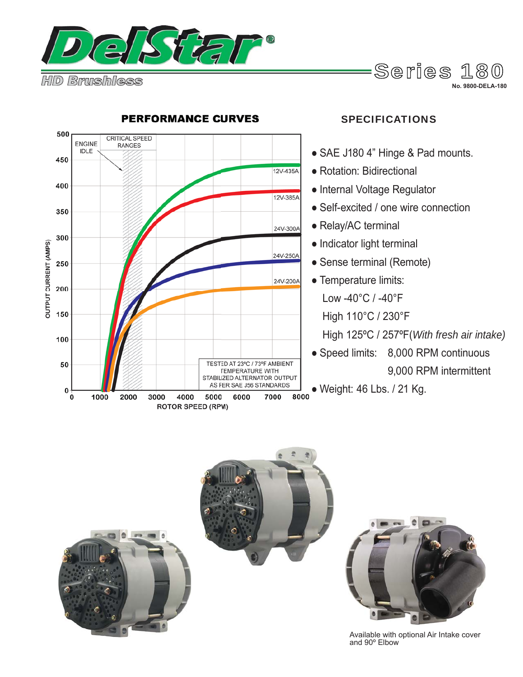

**No. 9800-DELA-180**



#### **PERFORMANCE CURVES**

### SPECIFICATIONS

- SAE J180 4" Hinge & Pad mounts.
- Rotation: Bidirectional
- Internal Voltage Regulator
- Self-excited / one wire connection
- Relay/AC terminal
- Indicator light terminal
- Sense terminal (Remote)
- Temperature limits:
	- Low -40°C / -40°F
	- High 110°C / 230°F
	- High 125ºC / 257ºF(*With fresh air intake)*
- Speed limits: 8,000 RPM continuous 9,000 RPM intermittent
- Weight: 46 Lbs. / 21 Kg.





Available with optional Air Intake cover and 90º Elbow

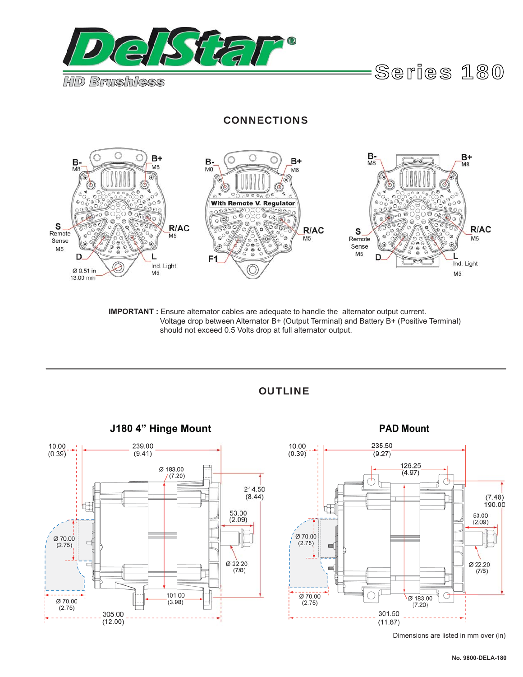

#### **CONNECTIONS**



**IMPORTANT :** Ensure alternator cables are adequate to handle the alternator output current. Voltage drop between Alternator B+ (Output Terminal) and Battery B+ (Positive Terminal) should not exceed 0.5 Volts drop at full alternator output.



OUTLINE



Dimensions are listed in mm over (in)